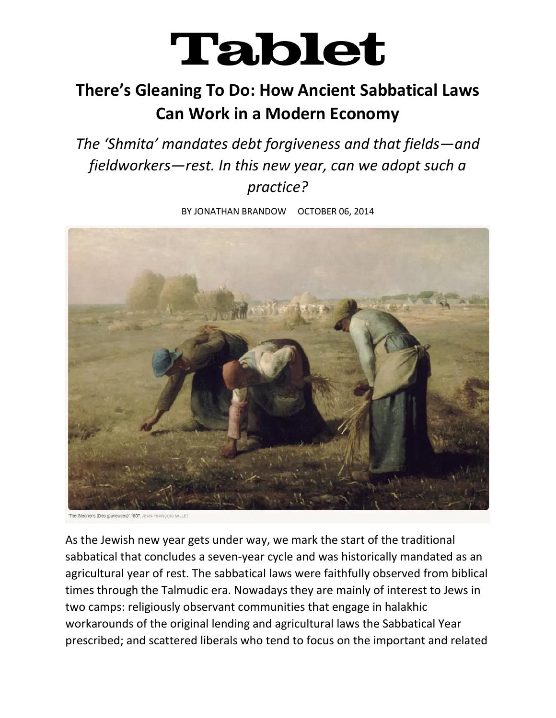## **Tablet**

## **There's Gleaning To Do: How Ancient Sabbatical Laws Can Work in a Modern Economy**

*The 'Shmita' mandates debt forgiveness and that fields—and fieldworkers—rest. In this new year, can we adopt such a practice?*

BY JONATHAN BRANDOW OCTOBER 06, 2014



ers (Des glaneuses)', 1857, JEAN-FRANCOIS MILLE

As the Jewish new year gets under way, we mark the start of the traditional sabbatical that concludes a seven-year cycle and was historically mandated as an agricultural year of rest. The sabbatical laws were faithfully observed from biblical times through the Talmudic era. Nowadays they are mainly of interest to Jews in two camps: religiously observant communities that engage in halakhic workarounds of the original lending and agricultural laws the Sabbatical Year prescribed; and scattered liberals who tend to focus on the important and related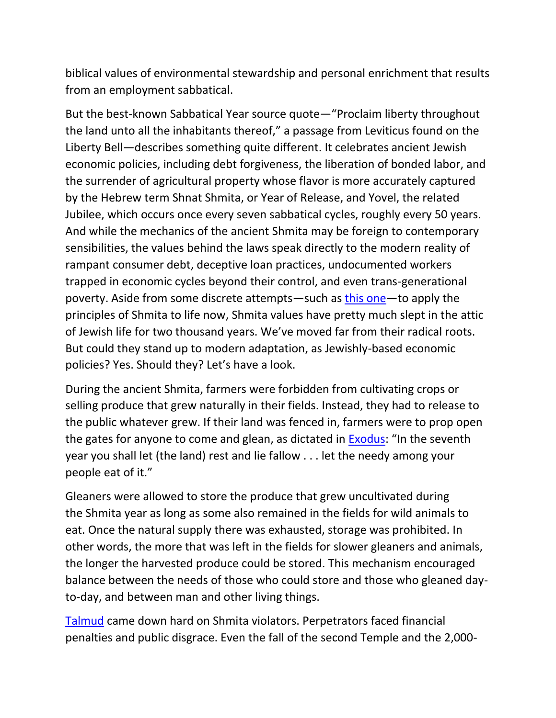biblical values of environmental stewardship and personal enrichment that results from an employment sabbatical.

But the best-known Sabbatical Year source quote—"Proclaim liberty throughout the land unto all the inhabitants thereof," a passage from Leviticus found on the Liberty Bell—describes something quite different. It celebrates ancient Jewish economic policies, including debt forgiveness, the liberation of bonded labor, and the surrender of agricultural property whose flavor is more accurately captured by the Hebrew term Shnat Shmita, or Year of Release, and Yovel, the related Jubilee, which occurs once every seven sabbatical cycles, roughly every 50 years. And while the mechanics of the ancient Shmita may be foreign to contemporary sensibilities, the values behind the laws speak directly to the modern reality of rampant consumer debt, deceptive loan practices, undocumented workers trapped in economic cycles beyond their control, and even trans-generational poverty. Aside from some discrete attempts—such as [this one](http://www.year7.org/)—to apply the principles of Shmita to life now, Shmita values have pretty much slept in the attic of Jewish life for two thousand years. We've moved far from their radical roots. But could they stand up to modern adaptation, as Jewishly-based economic policies? Yes. Should they? Let's have a look.

During the ancient Shmita, farmers were forbidden from cultivating crops or selling produce that grew naturally in their fields. Instead, they had to release to the public whatever grew. If their land was fenced in, farmers were to prop open the gates for anyone to come and glean, as dictated in [Exodus](http://www.mechon-mamre.org/p/pt/pt0223.htm): "In the seventh year you shall let (the land) rest and lie fallow . . . let the needy among your people eat of it."

Gleaners were allowed to store the produce that grew uncultivated during the Shmita year as long as some also remained in the fields for wild animals to eat. Once the natural supply there was exhausted, storage was prohibited. In other words, the more that was left in the fields for slower gleaners and animals, the longer the harvested produce could be stored. This mechanism encouraged balance between the needs of those who could store and those who gleaned dayto-day, and between man and other living things.

[Talmud](http://www.come-and-hear.com/shabbath/shabbath_33.html) came down hard on Shmita violators. Perpetrators faced financial penalties and public disgrace. Even the fall of the second Temple and the 2,000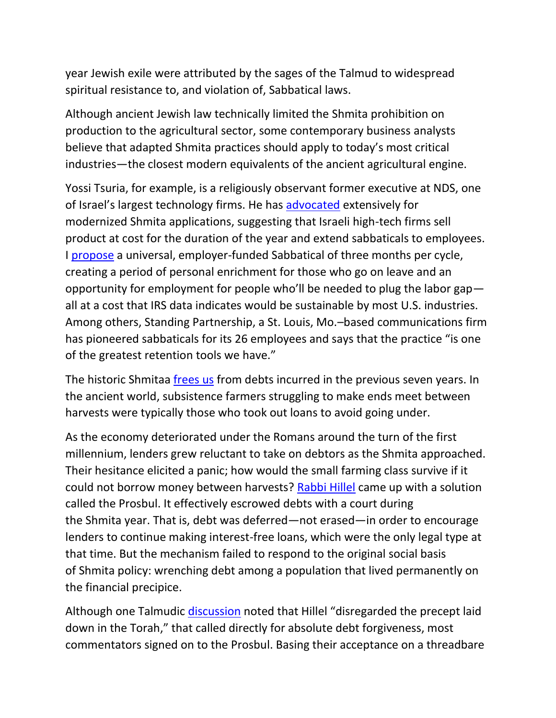year Jewish exile were attributed by the sages of the Talmud to widespread spiritual resistance to, and violation of, Sabbatical laws.

Although ancient Jewish law technically limited the Shmita prohibition on production to the agricultural sector, some contemporary business analysts believe that adapted Shmita practices should apply to today's most critical industries—the closest modern equivalents of the ancient agricultural engine.

Yossi Tsuria, for example, is a religiously observant former executive at NDS, one of Israel's largest technology firms. He has [advocated](http://www.tapuz.co.il/blog/net/UserBlog.aspx?foldername=shmita&skip=1) extensively for modernized Shmita applications, suggesting that Israeli high-tech firms sell product at cost for the duration of the year and extend sabbaticals to employees. I [propose](http://thejustmarket.com/) a universal, employer-funded Sabbatical of three months per cycle, creating a period of personal enrichment for those who go on leave and an opportunity for employment for people who'll be needed to plug the labor gap all at a cost that IRS data indicates would be sustainable by most U.S. industries. Among others, Standing Partnership, a St. Louis, Mo.–based communications firm has pioneered sabbaticals for its 26 employees and says that the practice "is one of the greatest retention tools we have."

The historic Shmitaa [frees us](http://www.mechon-mamre.org/p/pt/pt0515.htm) from debts incurred in the previous seven years. In the ancient world, subsistence farmers struggling to make ends meet between harvests were typically those who took out loans to avoid going under.

As the economy deteriorated under the Romans around the turn of the first millennium, lenders grew reluctant to take on debtors as the Shmita approached. Their hesitance elicited a panic; how would the small farming class survive if it could not borrow money between harvests? [Rabbi Hillel](http://www.jewishencyclopedia.com/articles/7698-hillel) came up with a solution called the Prosbul. It effectively escrowed debts with a court during the Shmita year. That is, debt was deferred—not erased—in order to encourage lenders to continue making interest-free loans, which were the only legal type at that time. But the mechanism failed to respond to the original social basis of Shmita policy: wrenching debt among a population that lived permanently on the financial precipice.

Although one Talmudic [discussion](http://www.come-and-hear.com/gittin/gittin_23.html) noted that Hillel "disregarded the precept laid down in the Torah," that called directly for absolute debt forgiveness, most commentators signed on to the Prosbul. Basing their acceptance on a threadbare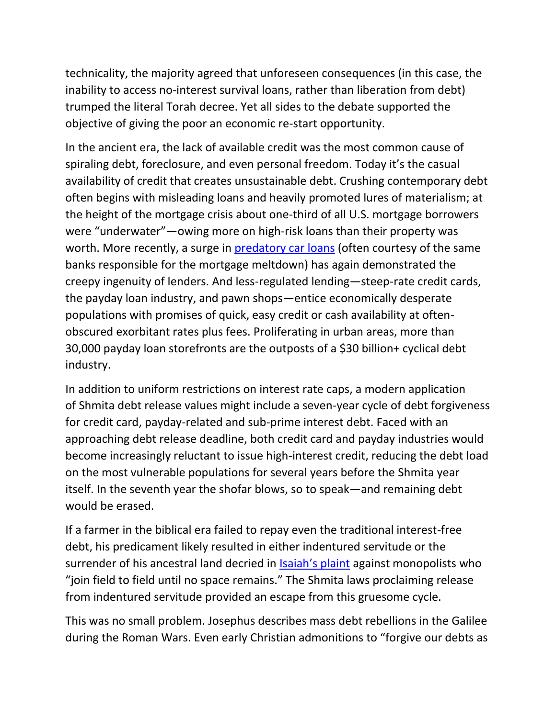technicality, the majority agreed that unforeseen consequences (in this case, the inability to access no-interest survival loans, rather than liberation from debt) trumped the literal Torah decree. Yet all sides to the debate supported the objective of giving the poor an economic re-start opportunity.

In the ancient era, the lack of available credit was the most common cause of spiraling debt, foreclosure, and even personal freedom. Today it's the casual availability of credit that creates unsustainable debt. Crushing contemporary debt often begins with misleading loans and heavily promoted lures of materialism; at the height of the mortgage crisis about one-third of all U.S. mortgage borrowers were "underwater"—owing more on high-risk loans than their property was worth. More recently, a surge in **[predatory car loans](http://dealbook.nytimes.com/2014/07/19/in-a-subprime-bubble-for-used-cars-unfit-borrowers-pay-sky-high-rates/?_php=true&_type=blogs&module=Search&mabReward=relbias%3Aw%2C%7b%222%22%3A%22RI%3A13%22%2C%221%22%3A%22RI%3A5%22%7d&_r=0)** (often courtesy of the same banks responsible for the mortgage meltdown) has again demonstrated the creepy ingenuity of lenders. And less-regulated lending—steep-rate credit cards, the payday loan industry, and pawn shops—entice economically desperate populations with promises of quick, easy credit or cash availability at oftenobscured exorbitant rates plus fees. Proliferating in urban areas, more than 30,000 payday loan storefronts are the outposts of a \$30 billion+ cyclical debt industry.

In addition to uniform restrictions on interest rate caps, a modern application of Shmita debt release values might include a seven-year cycle of debt forgiveness for credit card, payday-related and sub-prime interest debt. Faced with an approaching debt release deadline, both credit card and payday industries would become increasingly reluctant to issue high-interest credit, reducing the debt load on the most vulnerable populations for several years before the Shmita year itself. In the seventh year the shofar blows, so to speak—and remaining debt would be erased.

If a farmer in the biblical era failed to repay even the traditional interest-free debt, his predicament likely resulted in either indentured servitude or the surrender of his ancestral land decried in [Isaiah's plaint](http://www.mechon-mamre.org/p/pt/pt1005.htm) against monopolists who "join field to field until no space remains." The Shmita laws proclaiming release from indentured servitude provided an escape from this gruesome cycle.

This was no small problem. Josephus describes mass debt rebellions in the Galilee during the Roman Wars. Even early Christian admonitions to "forgive our debts as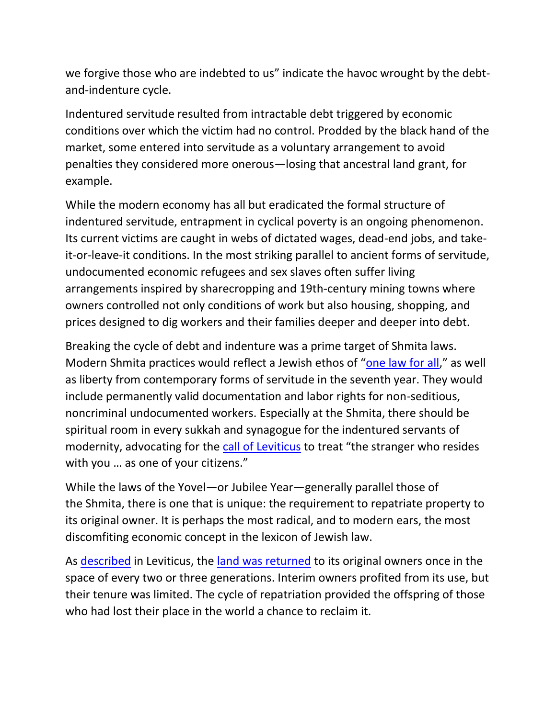we forgive those who are indebted to us" indicate the havoc wrought by the debtand-indenture cycle.

Indentured servitude resulted from intractable debt triggered by economic conditions over which the victim had no control. Prodded by the black hand of the market, some entered into servitude as a voluntary arrangement to avoid penalties they considered more onerous—losing that ancestral land grant, for example.

While the modern economy has all but eradicated the formal structure of indentured servitude, entrapment in cyclical poverty is an ongoing phenomenon. Its current victims are caught in webs of dictated wages, dead-end jobs, and takeit-or-leave-it conditions. In the most striking parallel to ancient forms of servitude, undocumented economic refugees and sex slaves often suffer living arrangements inspired by sharecropping and 19th-century mining towns where owners controlled not only conditions of work but also housing, shopping, and prices designed to dig workers and their families deeper and deeper into debt.

Breaking the cycle of debt and indenture was a prime target of Shmita laws. Modern Shmita practices would reflect a Jewish ethos of "[one law for all](http://www.mechon-mamre.org/p/pt/pt0415.htm)," as well as liberty from contemporary forms of servitude in the seventh year. They would include permanently valid documentation and labor rights for non-seditious, noncriminal undocumented workers. Especially at the Shmita, there should be spiritual room in every sukkah and synagogue for the indentured servants of modernity, advocating for the [call of Leviticus](http://www.mechon-mamre.org/p/pt/pt0319.htm) to treat "the stranger who resides with you … as one of your citizens."

While the laws of the Yovel—or Jubilee Year—generally parallel those of the Shmita, there is one that is unique: the requirement to repatriate property to its original owner. It is perhaps the most radical, and to modern ears, the most discomfiting economic concept in the lexicon of Jewish law.

As [described](http://www.mechon-mamre.org/p/pt/pt0325.htm) in Leviticus, the [land was returned](http://www.mechon-mamre.org/p/pt/pt0327.htm) to its original owners once in the space of every two or three generations. Interim owners profited from its use, but their tenure was limited. The cycle of repatriation provided the offspring of those who had lost their place in the world a chance to reclaim it.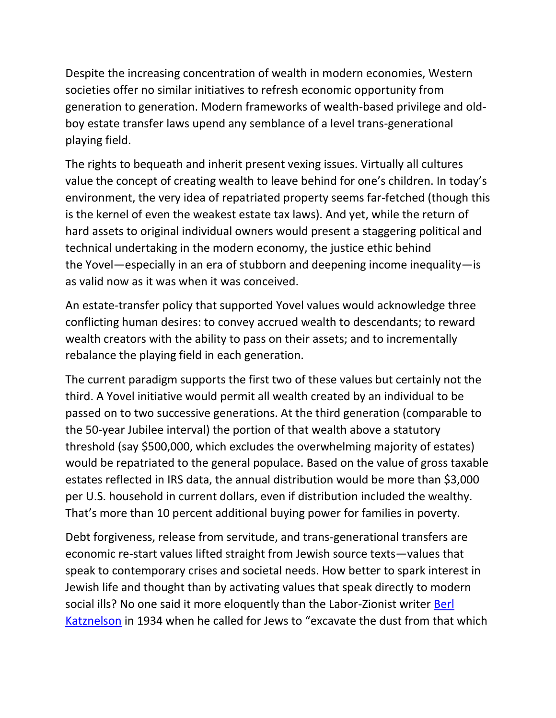Despite the increasing concentration of wealth in modern economies, Western societies offer no similar initiatives to refresh economic opportunity from generation to generation. Modern frameworks of wealth-based privilege and oldboy estate transfer laws upend any semblance of a level trans-generational playing field.

The rights to bequeath and inherit present vexing issues. Virtually all cultures value the concept of creating wealth to leave behind for one's children. In today's environment, the very idea of repatriated property seems far-fetched (though this is the kernel of even the weakest estate tax laws). And yet, while the return of hard assets to original individual owners would present a staggering political and technical undertaking in the modern economy, the justice ethic behind the Yovel—especially in an era of stubborn and deepening income inequality—is as valid now as it was when it was conceived.

An estate-transfer policy that supported Yovel values would acknowledge three conflicting human desires: to convey accrued wealth to descendants; to reward wealth creators with the ability to pass on their assets; and to incrementally rebalance the playing field in each generation.

The current paradigm supports the first two of these values but certainly not the third. A Yovel initiative would permit all wealth created by an individual to be passed on to two successive generations. At the third generation (comparable to the 50-year Jubilee interval) the portion of that wealth above a statutory threshold (say \$500,000, which excludes the overwhelming majority of estates) would be repatriated to the general populace. Based on the value of gross taxable estates reflected in IRS data, the annual distribution would be more than \$3,000 per U.S. household in current dollars, even if distribution included the wealthy. That's more than 10 percent additional buying power for families in poverty.

Debt forgiveness, release from servitude, and trans-generational transfers are economic re-start values lifted straight from Jewish source texts—values that speak to contemporary crises and societal needs. How better to spark interest in Jewish life and thought than by activating values that speak directly to modern social ills? No one said it more eloquently than the Labor-Zionist writer [Berl](http://jafi.org/JewishAgency/English/Jewish+Education/Compelling+Content/Eye+on+Israel/Gallery+of+People+(Biographies)/Katznelson+Berl.htm)  [Katznelson](http://jafi.org/JewishAgency/English/Jewish+Education/Compelling+Content/Eye+on+Israel/Gallery+of+People+(Biographies)/Katznelson+Berl.htm) in 1934 when he called for Jews to "excavate the dust from that which